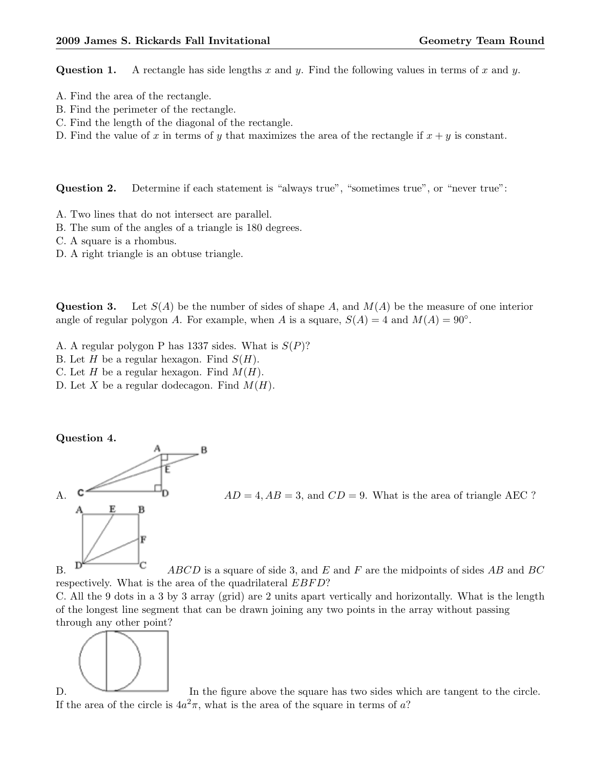Question 1. A rectangle has side lengths x and y. Find the following values in terms of x and y.

- A. Find the area of the rectangle.
- B. Find the perimeter of the rectangle.
- C. Find the length of the diagonal of the rectangle.
- D. Find the value of x in terms of y that maximizes the area of the rectangle if  $x + y$  is constant.

Question 2. Determine if each statement is "always true", "sometimes true", or "never true":

- A. Two lines that do not intersect are parallel.
- B. The sum of the angles of a triangle is 180 degrees.
- C. A square is a rhombus.
- D. A right triangle is an obtuse triangle.

Question 3. Let  $S(A)$  be the number of sides of shape A, and  $M(A)$  be the measure of one interior angle of regular polygon A. For example, when A is a square,  $S(A) = 4$  and  $M(A) = 90^\circ$ .

- A. A regular polygon P has 1337 sides. What is  $S(P)$ ?
- B. Let H be a regular hexagon. Find  $S(H)$ .
- C. Let H be a regular hexagon. Find  $M(H)$ .
- D. Let X be a regular dodecagon. Find  $M(H)$ .

## Question 4.



A. C D = 4,  $AD = 4$ ,  $AB = 3$ , and  $CD = 9$ . What is the area of triangle AEC ?

B.  $\Box$  ABCD is a square of side 3, and E and F are the midpoints of sides AB and BC respectively. What is the area of the quadrilateral *EBFD*?

C. All the 9 dots in a 3 by 3 array (grid) are 2 units apart vertically and horizontally. What is the length of the longest line segment that can be drawn joining any two points in the array without passing through any other point?



D. In the figure above the square has two sides which are tangent to the circle. If the area of the circle is  $4a^2\pi$ , what is the area of the square in terms of a?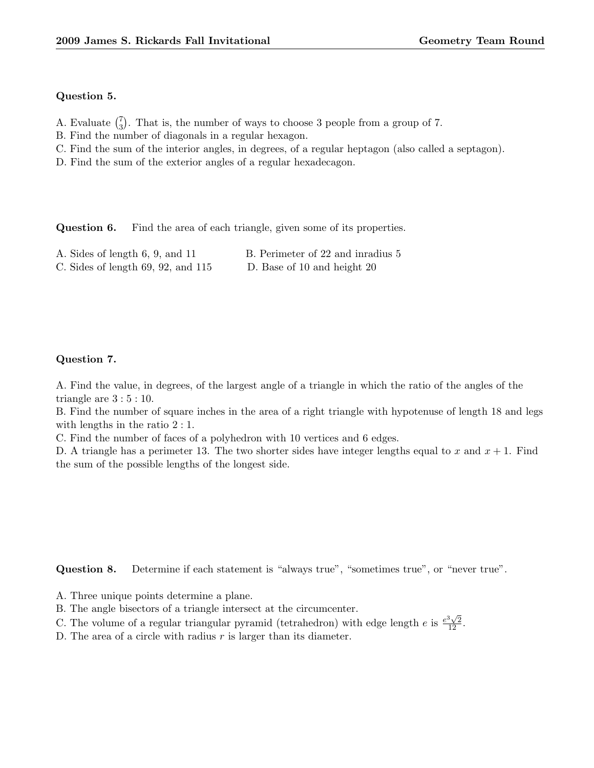## Question 5.

- A. Evaluate  $\binom{7}{3}$  $\binom{7}{3}$ . That is, the number of ways to choose 3 people from a group of 7.
- B. Find the number of diagonals in a regular hexagon.
- C. Find the sum of the interior angles, in degrees, of a regular heptagon (also called a septagon).
- D. Find the sum of the exterior angles of a regular hexadecagon.

Question 6. Find the area of each triangle, given some of its properties.

| A. Sides of length 6, 9, and 11        | B. Perimeter of 22 and inradius 5 |
|----------------------------------------|-----------------------------------|
| C. Sides of length $69, 92,$ and $115$ | D. Base of 10 and height 20       |

## Question 7.

A. Find the value, in degrees, of the largest angle of a triangle in which the ratio of the angles of the triangle are  $3:5:10$ .

B. Find the number of square inches in the area of a right triangle with hypotenuse of length 18 and legs with lengths in the ratio 2 : 1.

C. Find the number of faces of a polyhedron with 10 vertices and 6 edges.

D. A triangle has a perimeter 13. The two shorter sides have integer lengths equal to x and  $x + 1$ . Find the sum of the possible lengths of the longest side.

Question 8. Determine if each statement is "always true", "sometimes true", or "never true".

- A. Three unique points determine a plane.
- B. The angle bisectors of a triangle intersect at the circumcenter.
- D. The angle bisectors of a triangular pyramid (tetrahedron) with edge length e is  $\frac{e^3\sqrt{2}}{12}$ .
- D. The area of a circle with radius  $r$  is larger than its diameter.